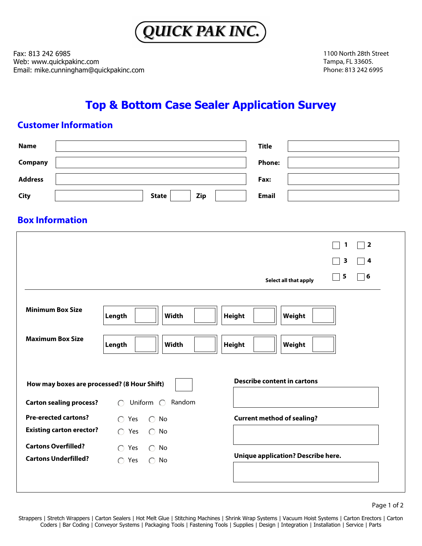

Fax: 813 242 6985 Web: www.quickpakinc.com Email: mike.cunningham@quickpakinc.com 1100 North 28th Street Tampa, FL 33605. Phone: 813 242 6995

# **Top & Bottom Case Sealer Application Survey**

## **Customer Information**

| <b>Name</b>                                                                       | <b>Title</b>                                                                                                 |  |  |  |  |
|-----------------------------------------------------------------------------------|--------------------------------------------------------------------------------------------------------------|--|--|--|--|
| Company                                                                           | <b>Phone:</b>                                                                                                |  |  |  |  |
| <b>Address</b>                                                                    | Fax:                                                                                                         |  |  |  |  |
| <b>City</b>                                                                       | <b>Email</b><br><b>State</b><br>Zip                                                                          |  |  |  |  |
| <b>Box Information</b>                                                            |                                                                                                              |  |  |  |  |
|                                                                                   | $\sqsupset$ 2<br>1                                                                                           |  |  |  |  |
|                                                                                   | 3<br>4                                                                                                       |  |  |  |  |
|                                                                                   | 5<br>$\mathbin{\lceil} 6$<br>Select all that apply                                                           |  |  |  |  |
| <b>Minimum Box Size</b>                                                           | Weight<br>Length<br><b>Width</b><br><b>Height</b>                                                            |  |  |  |  |
| <b>Maximum Box Size</b>                                                           | <b>Width</b><br>Length<br><b>Height</b><br>Weight                                                            |  |  |  |  |
| <b>Describe content in cartons</b><br>How may boxes are processed? (8 Hour Shift) |                                                                                                              |  |  |  |  |
| <b>Carton sealing process?</b>                                                    | Random<br>Uniform $\bigcirc$<br>$\bigcap$                                                                    |  |  |  |  |
| <b>Pre-erected cartons?</b>                                                       | <b>Current method of sealing?</b><br>$\bigcap$ Yes<br>$\bigcap$ No                                           |  |  |  |  |
| <b>Existing carton erector?</b>                                                   | $\bigcap$ Yes<br>$\bigcirc$ No                                                                               |  |  |  |  |
| <b>Cartons Overfilled?</b><br><b>Cartons Underfilled?</b>                         | $\bigcap$ Yes<br>$\bigcirc$ No<br><b>Unique application? Describe here.</b><br>$\bigcap$ Yes<br>$\bigcap$ No |  |  |  |  |
|                                                                                   |                                                                                                              |  |  |  |  |

Page 1 of 2